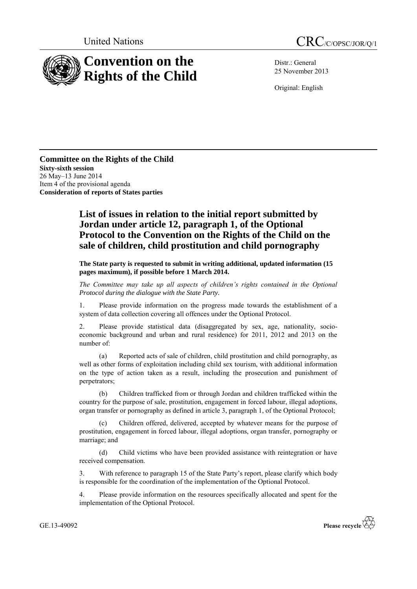

Distr.: General 25 November 2013

Original: English

**Committee on the Rights of the Child Sixty-sixth session** 26 May–13 June 2014 Item 4 of the provisional agenda **Consideration of reports of States parties**

## **List of issues in relation to the initial report submitted by Jordan under article 12, paragraph 1, of the Optional Protocol to the Convention on the Rights of the Child on the sale of children, child prostitution and child pornography**

**The State party is requested to submit in writing additional, updated information (15 pages maximum), if possible before 1 March 2014.**

*The Committee may take up all aspects of children's rights contained in the Optional Protocol during the dialogue with the State Party.*

1. Please provide information on the progress made towards the establishment of a system of data collection covering all offences under the Optional Protocol.

2. Please provide statistical data (disaggregated by sex, age, nationality, socioeconomic background and urban and rural residence) for 2011, 2012 and 2013 on the number of:

(a) Reported acts of sale of children, child prostitution and child pornography, as well as other forms of exploitation including child sex tourism, with additional information on the type of action taken as a result, including the prosecution and punishment of perpetrators;

(b) Children trafficked from or through Jordan and children trafficked within the country for the purpose of sale, prostitution, engagement in forced labour, illegal adoptions, organ transfer or pornography as defined in article 3, paragraph 1, of the Optional Protocol;

Children offered, delivered, accepted by whatever means for the purpose of prostitution, engagement in forced labour, illegal adoptions, organ transfer, pornography or marriage; and

(d) Child victims who have been provided assistance with reintegration or have received compensation.

3. With reference to paragraph 15 of the State Party's report, please clarify which body is responsible for the coordination of the implementation of the Optional Protocol.

4. Please provide information on the resources specifically allocated and spent for the implementation of the Optional Protocol.

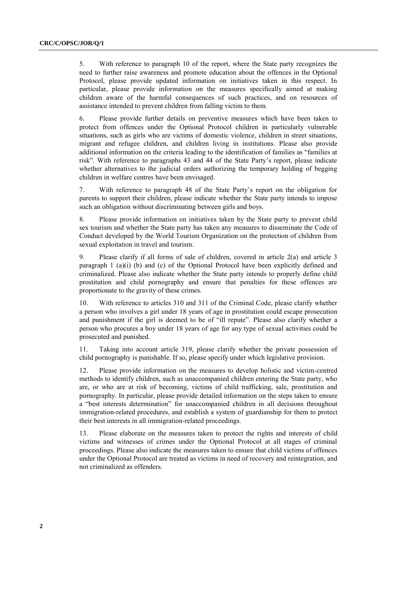5. With reference to paragraph 10 of the report, where the State party recognizes the need to further raise awareness and promote education about the offences in the Optional Protocol, please provide updated information on initiatives taken in this respect. In particular, please provide information on the measures specifically aimed at making children aware of the harmful consequences of such practices, and on resources of assistance intended to prevent children from falling victim to them.

6. Please provide further details on preventive measures which have been taken to protect from offences under the Optional Protocol children in particularly vulnerable situations, such as girls who are victims of domestic violence, children in street situations, migrant and refugee children, and children living in institutions. Please also provide additional information on the criteria leading to the identification of families as "families at risk". With reference to paragraphs 43 and 44 of the State Party's report, please indicate whether alternatives to the judicial orders authorizing the temporary holding of begging children in welfare centres have been envisaged.

7. With reference to paragraph 48 of the State Party's report on the obligation for parents to support their children, please indicate whether the State party intends to impose such an obligation without discriminating between girls and boys.

8. Please provide information on initiatives taken by the State party to prevent child sex tourism and whether the State party has taken any measures to disseminate the Code of Conduct developed by the World Tourism Organization on the protection of children from sexual exploitation in travel and tourism.

9. Please clarify if all forms of sale of children, covered in article 2(a) and article 3 paragraph 1 (a)(i) (b) and (c) of the Optional Protocol have been explicitly defined and criminalized. Please also indicate whether the State party intends to properly define child prostitution and child pornography and ensure that penalties for these offences are proportionate to the gravity of these crimes.

10. With reference to articles 310 and 311 of the Criminal Code, please clarify whether a person who involves a girl under 18 years of age in prostitution could escape prosecution and punishment if the girl is deemed to be of "ill repute". Please also clarify whether a person who procures a boy under 18 years of age for any type of sexual activities could be prosecuted and punished.

11. Taking into account article 319, please clarify whether the private possession of child pornography is punishable. If so, please specify under which legislative provision.

12. Please provide information on the measures to develop holistic and victim-centred methods to identify children, such as unaccompanied children entering the State party, who are, or who are at risk of becoming, victims of child trafficking, sale, prostitution and pornography. In particular, please provide detailed information on the steps taken to ensure a "best interests determination" for unaccompanied children in all decisions throughout immigration-related procedures, and establish a system of guardianship for them to protect their best interests in all immigration-related proceedings.

13. Please elaborate on the measures taken to protect the rights and interests of child victims and witnesses of crimes under the Optional Protocol at all stages of criminal proceedings. Please also indicate the measures taken to ensure that child victims of offences under the Optional Protocol are treated as victims in need of recovery and reintegration, and not criminalized as offenders.